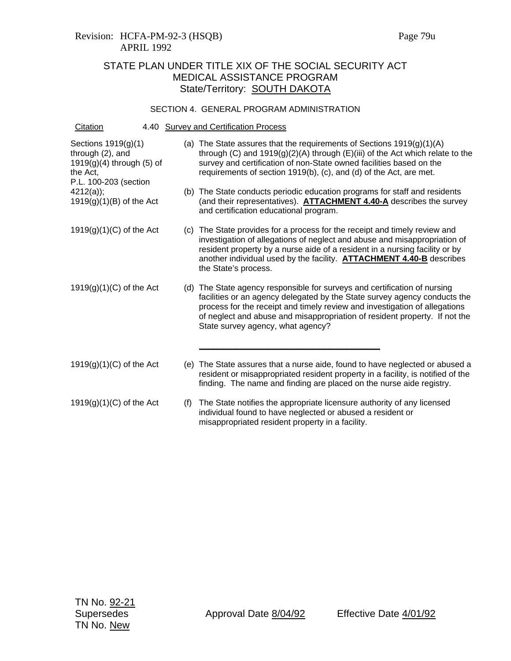#### SECTION 4. GENERAL PROGRAM ADMINISTRATION

| Citation                                                                                                    |     | 4.40 Survey and Certification Process                                                                                                                                                                                                                                                                                                                   |
|-------------------------------------------------------------------------------------------------------------|-----|---------------------------------------------------------------------------------------------------------------------------------------------------------------------------------------------------------------------------------------------------------------------------------------------------------------------------------------------------------|
| Sections 1919(g)(1)<br>through (2), and<br>$1919(g)(4)$ through (5) of<br>the Act,<br>P.L. 100-203 (section |     | (a) The State assures that the requirements of Sections $1919(g)(1)(A)$<br>through (C) and $1919(g)(2)(A)$ through (E)(iii) of the Act which relate to the<br>survey and certification of non-State owned facilities based on the<br>requirements of section 1919(b), (c), and (d) of the Act, are met.                                                 |
| $4212(a)$ ;<br>$1919(g)(1)(B)$ of the Act                                                                   |     | (b) The State conducts periodic education programs for staff and residents<br>(and their representatives). <b>ATTACHMENT 4.40-A</b> describes the survey<br>and certification educational program.                                                                                                                                                      |
| $1919(g)(1)(C)$ of the Act                                                                                  |     | (c) The State provides for a process for the receipt and timely review and<br>investigation of allegations of neglect and abuse and misappropriation of<br>resident property by a nurse aide of a resident in a nursing facility or by<br>another individual used by the facility. <b>ATTACHMENT 4.40-B</b> describes<br>the State's process.           |
| $1919(g)(1)(C)$ of the Act                                                                                  |     | (d) The State agency responsible for surveys and certification of nursing<br>facilities or an agency delegated by the State survey agency conducts the<br>process for the receipt and timely review and investigation of allegations<br>of neglect and abuse and misappropriation of resident property. If not the<br>State survey agency, what agency? |
| $1919(g)(1)(C)$ of the Act                                                                                  |     | (e) The State assures that a nurse aide, found to have neglected or abused a<br>resident or misappropriated resident property in a facility, is notified of the<br>finding. The name and finding are placed on the nurse aide registry.                                                                                                                 |
| $1919(g)(1)(C)$ of the Act                                                                                  | (f) | The State notifies the appropriate licensure authority of any licensed<br>individual found to have neglected or abused a resident or<br>misappropriated resident property in a facility.                                                                                                                                                                |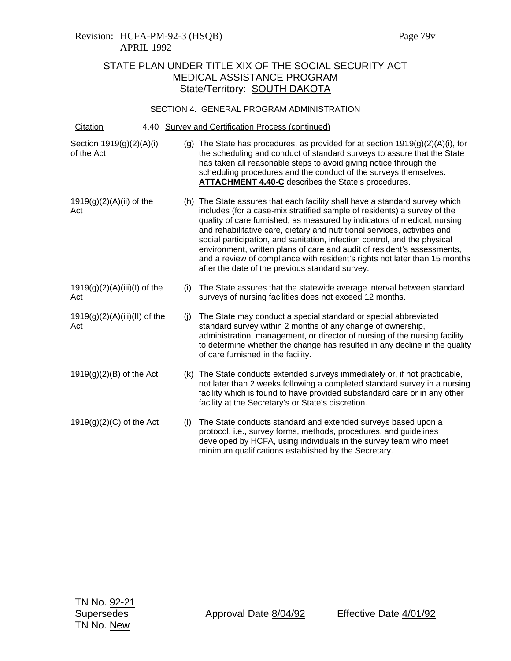### Revision: HCFA-PM-92-3 (HSQB) Page 79v APRIL 1992

# STATE PLAN UNDER TITLE XIX OF THE SOCIAL SECURITY ACT MEDICAL ASSISTANCE PROGRAM State/Territory: SOUTH DAKOTA

### SECTION 4. GENERAL PROGRAM ADMINISTRATION

| Citation                               |     | 4.40 Survey and Certification Process (continued)                                                                                                                                                                                                                                                                                                                                                                                                                                                                                                                                                          |
|----------------------------------------|-----|------------------------------------------------------------------------------------------------------------------------------------------------------------------------------------------------------------------------------------------------------------------------------------------------------------------------------------------------------------------------------------------------------------------------------------------------------------------------------------------------------------------------------------------------------------------------------------------------------------|
| Section 1919(g)(2)(A)(i)<br>of the Act |     | (g) The State has procedures, as provided for at section $1919(g)(2)(A)(i)$ , for<br>the scheduling and conduct of standard surveys to assure that the State<br>has taken all reasonable steps to avoid giving notice through the<br>scheduling procedures and the conduct of the surveys themselves.<br><b>ATTACHMENT 4.40-C</b> describes the State's procedures.                                                                                                                                                                                                                                        |
| 1919(g)(2)(A)(ii) of the<br>Act        |     | (h) The State assures that each facility shall have a standard survey which<br>includes (for a case-mix stratified sample of residents) a survey of the<br>quality of care furnished, as measured by indicators of medical, nursing,<br>and rehabilitative care, dietary and nutritional services, activities and<br>social participation, and sanitation, infection control, and the physical<br>environment, written plans of care and audit of resident's assessments,<br>and a review of compliance with resident's rights not later than 15 months<br>after the date of the previous standard survey. |
| $1919(g)(2)(A)(iii)(I)$ of the<br>Act  | (i) | The State assures that the statewide average interval between standard<br>surveys of nursing facilities does not exceed 12 months.                                                                                                                                                                                                                                                                                                                                                                                                                                                                         |
| $1919(g)(2)(A)(iii)(II)$ of the<br>Act | (i) | The State may conduct a special standard or special abbreviated<br>standard survey within 2 months of any change of ownership,<br>administration, management, or director of nursing of the nursing facility<br>to determine whether the change has resulted in any decline in the quality<br>of care furnished in the facility.                                                                                                                                                                                                                                                                           |
| $1919(g)(2)(B)$ of the Act             | (k) | The State conducts extended surveys immediately or, if not practicable,<br>not later than 2 weeks following a completed standard survey in a nursing<br>facility which is found to have provided substandard care or in any other<br>facility at the Secretary's or State's discretion.                                                                                                                                                                                                                                                                                                                    |
| $1919(g)(2)(C)$ of the Act             | (1) | The State conducts standard and extended surveys based upon a<br>protocol, i.e., survey forms, methods, procedures, and quidelines<br>developed by HCFA, using individuals in the survey team who meet<br>minimum qualifications established by the Secretary.                                                                                                                                                                                                                                                                                                                                             |